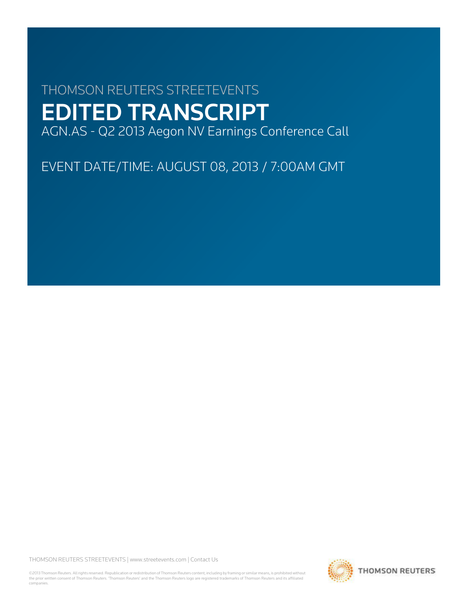# THOMSON REUTERS STREETEVENTS EDITED TRANSCRIPT AGN.AS - Q2 2013 Aegon NV Earnings Conference Call

EVENT DATE/TIME: AUGUST 08, 2013 / 7:00AM GMT

THOMSON REUTERS STREETEVENTS | www.streetevents.com | Contact Us

©2013 Thomson Reuters. All rights reserved. Republication or redistribution of Thomson Reuters content, including by framing or similar means, is prohibited without the prior written consent of Thomson Reuters. 'Thomson Reuters' and the Thomson Reuters logo are registered trademarks of Thomson Reuters and its affiliated companies.

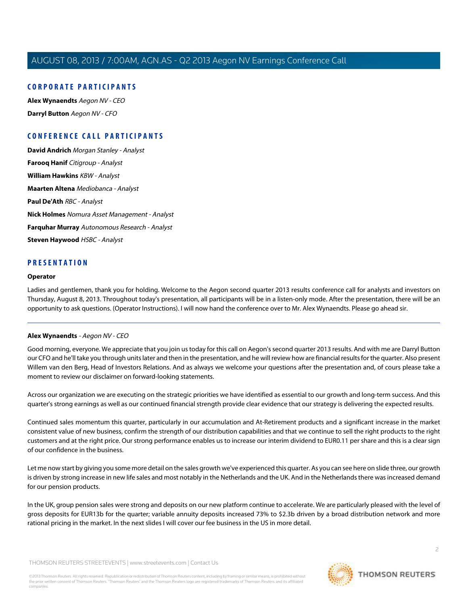## **CORPORATE PARTICIPANTS**

**[Alex Wynaendts](#page-1-0)** Aegon NV - CEO **[Darryl Button](#page-3-0)** Aegon NV - CFO

# **CONFERENCE CALL PARTICIPANTS**

**[David Andrich](#page-5-0)** Morgan Stanley - Analyst **[Farooq Hanif](#page-7-0)** Citigroup - Analyst **[William Hawkins](#page-8-0)** KBW - Analyst **[Maarten Altena](#page-9-0)** Mediobanca - Analyst **[Paul De'Ath](#page-11-0)** RBC - Analyst **[Nick Holmes](#page-12-0)** Nomura Asset Management - Analyst **[Farquhar Murray](#page-13-0)** Autonomous Research - Analyst **[Steven Haywood](#page-14-0)** HSBC - Analyst

## **PRESENTATION**

#### **Operator**

<span id="page-1-0"></span>Ladies and gentlemen, thank you for holding. Welcome to the Aegon second quarter 2013 results conference call for analysts and investors on Thursday, August 8, 2013. Throughout today's presentation, all participants will be in a listen-only mode. After the presentation, there will be an opportunity to ask questions. (Operator Instructions). I will now hand the conference over to Mr. Alex Wynaendts. Please go ahead sir.

#### **Alex Wynaendts** - Aegon NV - CEO

Good morning, everyone. We appreciate that you join us today for this call on Aegon's second quarter 2013 results. And with me are Darryl Button our CFO and he'll take you through units later and then in the presentation, and he will review how are financial results for the quarter. Also present Willem van den Berg, Head of Investors Relations. And as always we welcome your questions after the presentation and, of cours please take a moment to review our disclaimer on forward-looking statements.

Across our organization we are executing on the strategic priorities we have identified as essential to our growth and long-term success. And this quarter's strong earnings as well as our continued financial strength provide clear evidence that our strategy is delivering the expected results.

Continued sales momentum this quarter, particularly in our accumulation and At-Retirement products and a significant increase in the market consistent value of new business, confirm the strength of our distribution capabilities and that we continue to sell the right products to the right customers and at the right price. Our strong performance enables us to increase our interim dividend to EUR0.11 per share and this is a clear sign of our confidence in the business.

Let me now start by giving you some more detail on the sales growth we've experienced this quarter. As you can see here on slide three, our growth is driven by strong increase in new life sales and most notably in the Netherlands and the UK. And in the Netherlands there was increased demand for our pension products.

In the UK, group pension sales were strong and deposits on our new platform continue to accelerate. We are particularly pleased with the level of gross deposits for EUR13b for the quarter; variable annuity deposits increased 73% to \$2.3b driven by a broad distribution network and more rational pricing in the market. In the next slides I will cover our fee business in the US in more detail.

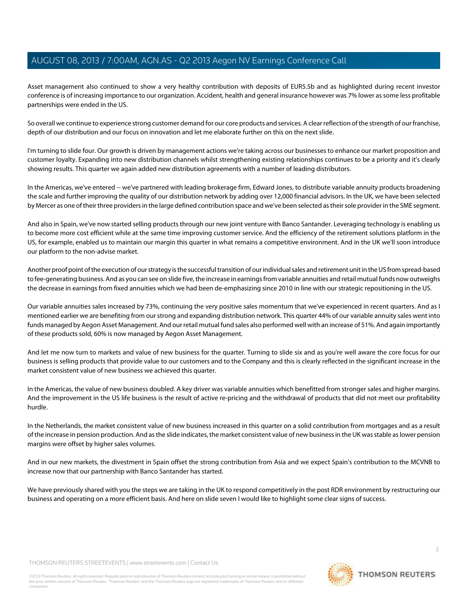Asset management also continued to show a very healthy contribution with deposits of EUR5.5b and as highlighted during recent investor conference is of increasing importance to our organization. Accident, health and general insurance however was 7% lower as some less profitable partnerships were ended in the US.

So overall we continue to experience strong customer demand for our core products and services. A clear reflection of the strength of our franchise, depth of our distribution and our focus on innovation and let me elaborate further on this on the next slide.

I'm turning to slide four. Our growth is driven by management actions we're taking across our businesses to enhance our market proposition and customer loyalty. Expanding into new distribution channels whilst strengthening existing relationships continues to be a priority and it's clearly showing results. This quarter we again added new distribution agreements with a number of leading distributors.

In the Americas, we've entered -- we've partnered with leading brokerage firm, Edward Jones, to distribute variable annuity products broadening the scale and further improving the quality of our distribution network by adding over 12,000 financial advisors. In the UK, we have been selected by Mercer as one of their three providers in the large defined contribution space and we've been selected as their sole provider in the SME segment.

And also in Spain, we've now started selling products through our new joint venture with Banco Santander. Leveraging technology is enabling us to become more cost efficient while at the same time improving customer service. And the efficiency of the retirement solutions platform in the US, for example, enabled us to maintain our margin this quarter in what remains a competitive environment. And in the UK we'll soon introduce our platform to the non-advise market.

Another proof point of the execution of our strategy is the successful transition of our individual sales and retirement unit in the US from spread-based to fee-generating business. And as you can see on slide five, the increase in earnings from variable annuities and retail mutual funds now outweighs the decrease in earnings from fixed annuities which we had been de-emphasizing since 2010 in line with our strategic repositioning in the US.

Our variable annuities sales increased by 73%, continuing the very positive sales momentum that we've experienced in recent quarters. And as I mentioned earlier we are benefiting from our strong and expanding distribution network. This quarter 44% of our variable annuity sales went into funds managed by Aegon Asset Management. And our retail mutual fund sales also performed well with an increase of 51%. And again importantly of these products sold, 60% is now managed by Aegon Asset Management.

And let me now turn to markets and value of new business for the quarter. Turning to slide six and as you're well aware the core focus for our business is selling products that provide value to our customers and to the Company and this is clearly reflected in the significant increase in the market consistent value of new business we achieved this quarter.

In the Americas, the value of new business doubled. A key driver was variable annuities which benefitted from stronger sales and higher margins. And the improvement in the US life business is the result of active re-pricing and the withdrawal of products that did not meet our profitability hurdle.

In the Netherlands, the market consistent value of new business increased in this quarter on a solid contribution from mortgages and as a result of the increase in pension production. And as the slide indicates, the market consistent value of new business in the UK was stable as lower pension margins were offset by higher sales volumes.

And in our new markets, the divestment in Spain offset the strong contribution from Asia and we expect Spain's contribution to the MCVNB to increase now that our partnership with Banco Santander has started.

We have previously shared with you the steps we are taking in the UK to respond competitively in the post RDR environment by restructuring our business and operating on a more efficient basis. And here on slide seven I would like to highlight some clear signs of success.

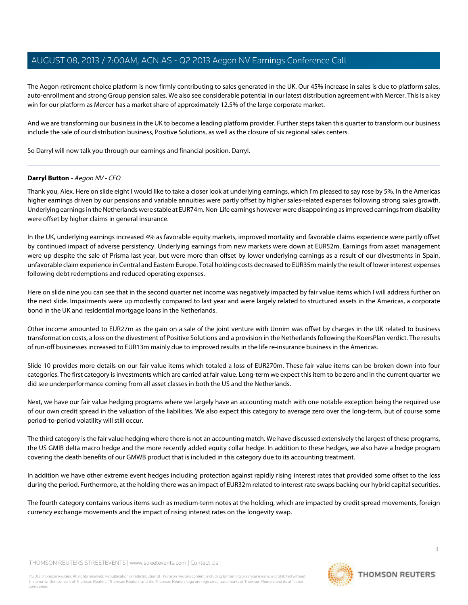The Aegon retirement choice platform is now firmly contributing to sales generated in the UK. Our 45% increase in sales is due to platform sales, auto-enrollment and strong Group pension sales. We also see considerable potential in our latest distribution agreement with Mercer. This is a key win for our platform as Mercer has a market share of approximately 12.5% of the large corporate market.

And we are transforming our business in the UK to become a leading platform provider. Further steps taken this quarter to transform our business include the sale of our distribution business, Positive Solutions, as well as the closure of six regional sales centers.

<span id="page-3-0"></span>So Darryl will now talk you through our earnings and financial position. Darryl.

## **Darryl Button** - Aegon NV - CFO

Thank you, Alex. Here on slide eight I would like to take a closer look at underlying earnings, which I'm pleased to say rose by 5%. In the Americas higher earnings driven by our pensions and variable annuities were partly offset by higher sales-related expenses following strong sales growth. Underlying earnings in the Netherlands were stable at EUR74m. Non-Life earnings however were disappointing as improved earnings from disability were offset by higher claims in general insurance.

In the UK, underlying earnings increased 4% as favorable equity markets, improved mortality and favorable claims experience were partly offset by continued impact of adverse persistency. Underlying earnings from new markets were down at EUR52m. Earnings from asset management were up despite the sale of Prisma last year, but were more than offset by lower underlying earnings as a result of our divestments in Spain, unfavorable claim experience in Central and Eastern Europe. Total holding costs decreased to EUR35m mainly the result of lower interest expenses following debt redemptions and reduced operating expenses.

Here on slide nine you can see that in the second quarter net income was negatively impacted by fair value items which I will address further on the next slide. Impairments were up modestly compared to last year and were largely related to structured assets in the Americas, a corporate bond in the UK and residential mortgage loans in the Netherlands.

Other income amounted to EUR27m as the gain on a sale of the joint venture with Unnim was offset by charges in the UK related to business transformation costs, a loss on the divestment of Positive Solutions and a provision in the Netherlands following the KoersPlan verdict. The results of run-off businesses increased to EUR13m mainly due to improved results in the life re-insurance business in the Americas.

Slide 10 provides more details on our fair value items which totaled a loss of EUR270m. These fair value items can be broken down into four categories. The first category is investments which are carried at fair value. Long-term we expect this item to be zero and in the current quarter we did see underperformance coming from all asset classes in both the US and the Netherlands.

Next, we have our fair value hedging programs where we largely have an accounting match with one notable exception being the required use of our own credit spread in the valuation of the liabilities. We also expect this category to average zero over the long-term, but of course some period-to-period volatility will still occur.

The third category is the fair value hedging where there is not an accounting match. We have discussed extensively the largest of these programs, the US GMIB delta macro hedge and the more recently added equity collar hedge. In addition to these hedges, we also have a hedge program covering the death benefits of our GMWB product that is included in this category due to its accounting treatment.

In addition we have other extreme event hedges including protection against rapidly rising interest rates that provided some offset to the loss during the period. Furthermore, at the holding there was an impact of EUR32m related to interest rate swaps backing our hybrid capital securities.

The fourth category contains various items such as medium-term notes at the holding, which are impacted by credit spread movements, foreign currency exchange movements and the impact of rising interest rates on the longevity swap.

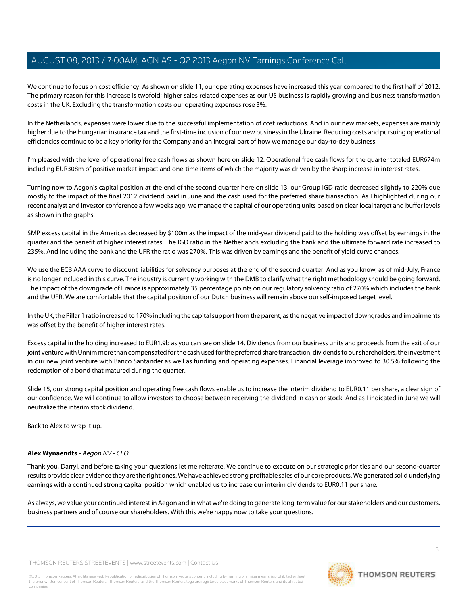We continue to focus on cost efficiency. As shown on slide 11, our operating expenses have increased this year compared to the first half of 2012. The primary reason for this increase is twofold; higher sales related expenses as our US business is rapidly growing and business transformation costs in the UK. Excluding the transformation costs our operating expenses rose 3%.

In the Netherlands, expenses were lower due to the successful implementation of cost reductions. And in our new markets, expenses are mainly higher due to the Hungarian insurance tax and the first-time inclusion of our new business in the Ukraine. Reducing costs and pursuing operational efficiencies continue to be a key priority for the Company and an integral part of how we manage our day-to-day business.

I'm pleased with the level of operational free cash flows as shown here on slide 12. Operational free cash flows for the quarter totaled EUR674m including EUR308m of positive market impact and one-time items of which the majority was driven by the sharp increase in interest rates.

Turning now to Aegon's capital position at the end of the second quarter here on slide 13, our Group IGD ratio decreased slightly to 220% due mostly to the impact of the final 2012 dividend paid in June and the cash used for the preferred share transaction. As I highlighted during our recent analyst and investor conference a few weeks ago, we manage the capital of our operating units based on clear local target and buffer levels as shown in the graphs.

SMP excess capital in the Americas decreased by \$100m as the impact of the mid-year dividend paid to the holding was offset by earnings in the quarter and the benefit of higher interest rates. The IGD ratio in the Netherlands excluding the bank and the ultimate forward rate increased to 235%. And including the bank and the UFR the ratio was 270%. This was driven by earnings and the benefit of yield curve changes.

We use the ECB AAA curve to discount liabilities for solvency purposes at the end of the second quarter. And as you know, as of mid-July, France is no longer included in this curve. The industry is currently working with the DMB to clarify what the right methodology should be going forward. The impact of the downgrade of France is approximately 35 percentage points on our regulatory solvency ratio of 270% which includes the bank and the UFR. We are comfortable that the capital position of our Dutch business will remain above our self-imposed target level.

In the UK, the Pillar 1 ratio increased to 170% including the capital support from the parent, as the negative impact of downgrades and impairments was offset by the benefit of higher interest rates.

Excess capital in the holding increased to EUR1.9b as you can see on slide 14. Dividends from our business units and proceeds from the exit of our joint venture with Unnim more than compensated for the cash used for the preferred share transaction, dividends to our shareholders, the investment in our new joint venture with Banco Santander as well as funding and operating expenses. Financial leverage improved to 30.5% following the redemption of a bond that matured during the quarter.

Slide 15, our strong capital position and operating free cash flows enable us to increase the interim dividend to EUR0.11 per share, a clear sign of our confidence. We will continue to allow investors to choose between receiving the dividend in cash or stock. And as I indicated in June we will neutralize the interim stock dividend.

Back to Alex to wrap it up.

## **Alex Wynaendts** - Aegon NV - CEO

Thank you, Darryl, and before taking your questions let me reiterate. We continue to execute on our strategic priorities and our second-quarter results provide clear evidence they are the right ones. We have achieved strong profitable sales of our core products. We generated solid underlying earnings with a continued strong capital position which enabled us to increase our interim dividends to EUR0.11 per share.

As always, we value your continued interest in Aegon and in what we're doing to generate long-term value for our stakeholders and our customers, business partners and of course our shareholders. With this we're happy now to take your questions.

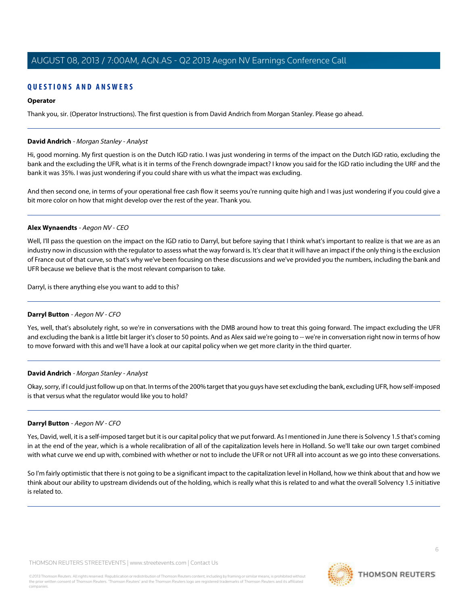## **QUESTIONS AND ANSWERS**

## **Operator**

Thank you, sir. (Operator Instructions). The first question is from David Andrich from Morgan Stanley. Please go ahead.

#### <span id="page-5-0"></span>**David Andrich** - Morgan Stanley - Analyst

Hi, good morning. My first question is on the Dutch IGD ratio. I was just wondering in terms of the impact on the Dutch IGD ratio, excluding the bank and the excluding the UFR, what is it in terms of the French downgrade impact? I know you said for the IGD ratio including the URF and the bank it was 35%. I was just wondering if you could share with us what the impact was excluding.

And then second one, in terms of your operational free cash flow it seems you're running quite high and I was just wondering if you could give a bit more color on how that might develop over the rest of the year. Thank you.

#### **Alex Wynaendts** - Aegon NV - CEO

Well, I'll pass the question on the impact on the IGD ratio to Darryl, but before saying that I think what's important to realize is that we are as an industry now in discussion with the regulator to assess what the way forward is. It's clear that it will have an impact if the only thing is the exclusion of France out of that curve, so that's why we've been focusing on these discussions and we've provided you the numbers, including the bank and UFR because we believe that is the most relevant comparison to take.

Darryl, is there anything else you want to add to this?

## **Darryl Button** - Aegon NV - CFO

Yes, well, that's absolutely right, so we're in conversations with the DMB around how to treat this going forward. The impact excluding the UFR and excluding the bank is a little bit larger it's closer to 50 points. And as Alex said we're going to -- we're in conversation right now in terms of how to move forward with this and we'll have a look at our capital policy when we get more clarity in the third quarter.

## **David Andrich** - Morgan Stanley - Analyst

Okay, sorry, if I could just follow up on that. In terms of the 200% target that you guys have set excluding the bank, excluding UFR, how self-imposed is that versus what the regulator would like you to hold?

## **Darryl Button** - Aegon NV - CFO

Yes, David, well, it is a self-imposed target but it is our capital policy that we put forward. As I mentioned in June there is Solvency 1.5 that's coming in at the end of the year, which is a whole recalibration of all of the capitalization levels here in Holland. So we'll take our own target combined with what curve we end up with, combined with whether or not to include the UFR or not UFR all into account as we go into these conversations.

So I'm fairly optimistic that there is not going to be a significant impact to the capitalization level in Holland, how we think about that and how we think about our ability to upstream dividends out of the holding, which is really what this is related to and what the overall Solvency 1.5 initiative is related to.

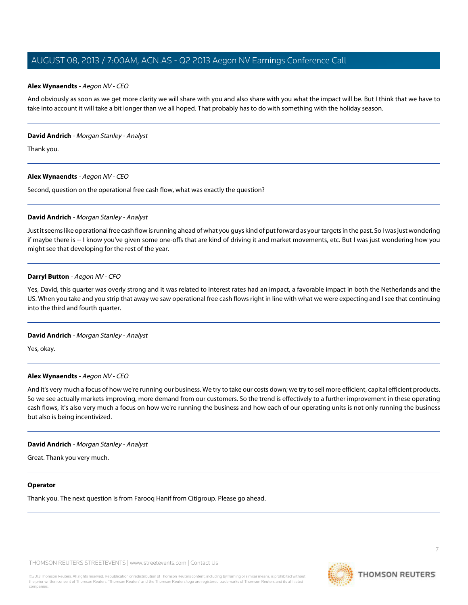#### **Alex Wynaendts** - Aegon NV - CEO

And obviously as soon as we get more clarity we will share with you and also share with you what the impact will be. But I think that we have to take into account it will take a bit longer than we all hoped. That probably has to do with something with the holiday season.

#### **David Andrich** - Morgan Stanley - Analyst

Thank you.

## **Alex Wynaendts** - Aegon NV - CEO

Second, question on the operational free cash flow, what was exactly the question?

#### **David Andrich** - Morgan Stanley - Analyst

Just it seems like operational free cash flow is running ahead of what you guys kind of put forward as your targets in the past. So I was just wondering if maybe there is -- I know you've given some one-offs that are kind of driving it and market movements, etc. But I was just wondering how you might see that developing for the rest of the year.

#### **Darryl Button** - Aegon NV - CFO

Yes, David, this quarter was overly strong and it was related to interest rates had an impact, a favorable impact in both the Netherlands and the US. When you take and you strip that away we saw operational free cash flows right in line with what we were expecting and I see that continuing into the third and fourth quarter.

## **David Andrich** - Morgan Stanley - Analyst

Yes, okay.

## **Alex Wynaendts** - Aegon NV - CEO

And it's very much a focus of how we're running our business. We try to take our costs down; we try to sell more efficient, capital efficient products. So we see actually markets improving, more demand from our customers. So the trend is effectively to a further improvement in these operating cash flows, it's also very much a focus on how we're running the business and how each of our operating units is not only running the business but also is being incentivized.

#### **David Andrich** - Morgan Stanley - Analyst

Great. Thank you very much.

#### **Operator**

Thank you. The next question is from Farooq Hanif from Citigroup. Please go ahead.

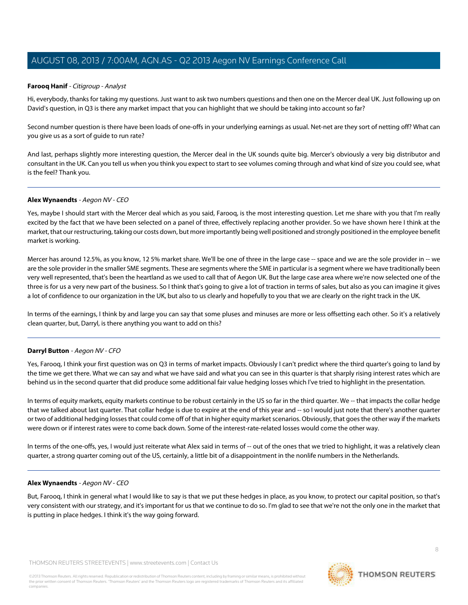#### <span id="page-7-0"></span>**Farooq Hanif** - Citigroup - Analyst

Hi, everybody, thanks for taking my questions. Just want to ask two numbers questions and then one on the Mercer deal UK. Just following up on David's question, in Q3 is there any market impact that you can highlight that we should be taking into account so far?

Second number question is there have been loads of one-offs in your underlying earnings as usual. Net-net are they sort of netting off? What can you give us as a sort of guide to run rate?

And last, perhaps slightly more interesting question, the Mercer deal in the UK sounds quite big. Mercer's obviously a very big distributor and consultant in the UK. Can you tell us when you think you expect to start to see volumes coming through and what kind of size you could see, what is the feel? Thank you.

#### **Alex Wynaendts** - Aegon NV - CEO

Yes, maybe I should start with the Mercer deal which as you said, Farooq, is the most interesting question. Let me share with you that I'm really excited by the fact that we have been selected on a panel of three, effectively replacing another provider. So we have shown here I think at the market, that our restructuring, taking our costs down, but more importantly being well positioned and strongly positioned in the employee benefit market is working.

Mercer has around 12.5%, as you know, 12 5% market share. We'll be one of three in the large case -- space and we are the sole provider in -- we are the sole provider in the smaller SME segments. These are segments where the SME in particular is a segment where we have traditionally been very well represented, that's been the heartland as we used to call that of Aegon UK. But the large case area where we're now selected one of the three is for us a very new part of the business. So I think that's going to give a lot of traction in terms of sales, but also as you can imagine it gives a lot of confidence to our organization in the UK, but also to us clearly and hopefully to you that we are clearly on the right track in the UK.

In terms of the earnings, I think by and large you can say that some pluses and minuses are more or less offsetting each other. So it's a relatively clean quarter, but, Darryl, is there anything you want to add on this?

#### **Darryl Button** - Aegon NV - CFO

Yes, Farooq, I think your first question was on Q3 in terms of market impacts. Obviously I can't predict where the third quarter's going to land by the time we get there. What we can say and what we have said and what you can see in this quarter is that sharply rising interest rates which are behind us in the second quarter that did produce some additional fair value hedging losses which I've tried to highlight in the presentation.

In terms of equity markets, equity markets continue to be robust certainly in the US so far in the third quarter. We -- that impacts the collar hedge that we talked about last quarter. That collar hedge is due to expire at the end of this year and -- so I would just note that there's another quarter or two of additional hedging losses that could come off of that in higher equity market scenarios. Obviously, that goes the other way if the markets were down or if interest rates were to come back down. Some of the interest-rate-related losses would come the other way.

In terms of the one-offs, yes, I would just reiterate what Alex said in terms of -- out of the ones that we tried to highlight, it was a relatively clean quarter, a strong quarter coming out of the US, certainly, a little bit of a disappointment in the nonlife numbers in the Netherlands.

#### **Alex Wynaendts** - Aegon NV - CEO

But, Farooq, I think in general what I would like to say is that we put these hedges in place, as you know, to protect our capital position, so that's very consistent with our strategy, and it's important for us that we continue to do so. I'm glad to see that we're not the only one in the market that is putting in place hedges. I think it's the way going forward.

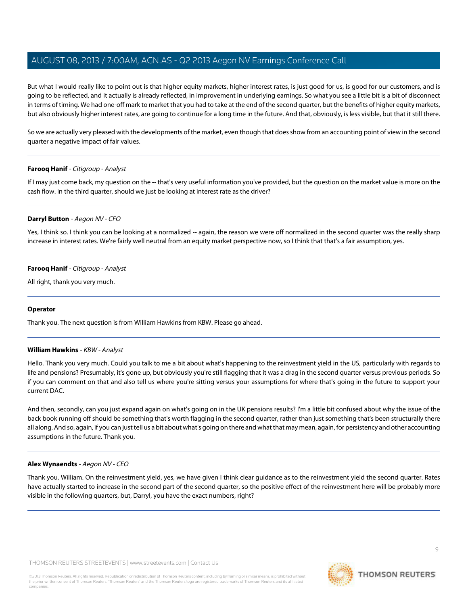But what I would really like to point out is that higher equity markets, higher interest rates, is just good for us, is good for our customers, and is going to be reflected, and it actually is already reflected, in improvement in underlying earnings. So what you see a little bit is a bit of disconnect in terms of timing. We had one-off mark to market that you had to take at the end of the second quarter, but the benefits of higher equity markets, but also obviously higher interest rates, are going to continue for a long time in the future. And that, obviously, is less visible, but that it still there.

So we are actually very pleased with the developments of the market, even though that does show from an accounting point of view in the second quarter a negative impact of fair values.

#### **Farooq Hanif** - Citigroup - Analyst

If I may just come back, my question on the -- that's very useful information you've provided, but the question on the market value is more on the cash flow. In the third quarter, should we just be looking at interest rate as the driver?

#### **Darryl Button** - Aegon NV - CFO

Yes, I think so. I think you can be looking at a normalized -- again, the reason we were off normalized in the second quarter was the really sharp increase in interest rates. We're fairly well neutral from an equity market perspective now, so I think that that's a fair assumption, yes.

#### **Farooq Hanif** - Citigroup - Analyst

All right, thank you very much.

#### <span id="page-8-0"></span>**Operator**

Thank you. The next question is from William Hawkins from KBW. Please go ahead.

#### **William Hawkins** - KBW - Analyst

Hello. Thank you very much. Could you talk to me a bit about what's happening to the reinvestment yield in the US, particularly with regards to life and pensions? Presumably, it's gone up, but obviously you're still flagging that it was a drag in the second quarter versus previous periods. So if you can comment on that and also tell us where you're sitting versus your assumptions for where that's going in the future to support your current DAC.

And then, secondly, can you just expand again on what's going on in the UK pensions results? I'm a little bit confused about why the issue of the back book running off should be something that's worth flagging in the second quarter, rather than just something that's been structurally there all along. And so, again, if you can just tell us a bit about what's going on there and what that may mean, again, for persistency and other accounting assumptions in the future. Thank you.

#### **Alex Wynaendts** - Aegon NV - CEO

Thank you, William. On the reinvestment yield, yes, we have given I think clear guidance as to the reinvestment yield the second quarter. Rates have actually started to increase in the second part of the second quarter, so the positive effect of the reinvestment here will be probably more visible in the following quarters, but, Darryl, you have the exact numbers, right?

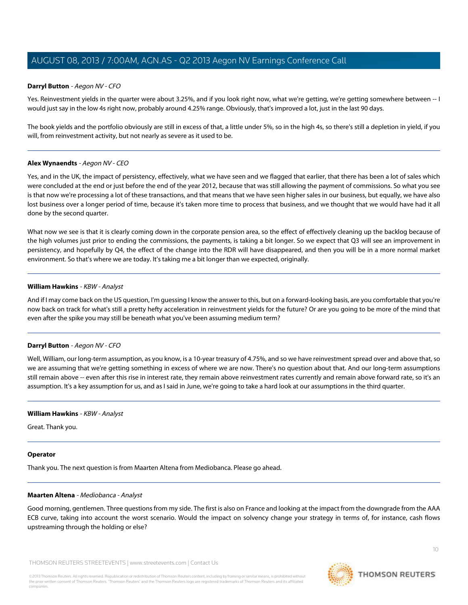#### **Darryl Button** - Aegon NV - CFO

Yes. Reinvestment yields in the quarter were about 3.25%, and if you look right now, what we're getting, we're getting somewhere between -- I would just say in the low 4s right now, probably around 4.25% range. Obviously, that's improved a lot, just in the last 90 days.

The book yields and the portfolio obviously are still in excess of that, a little under 5%, so in the high 4s, so there's still a depletion in yield, if you will, from reinvestment activity, but not nearly as severe as it used to be.

#### **Alex Wynaendts** - Aegon NV - CEO

Yes, and in the UK, the impact of persistency, effectively, what we have seen and we flagged that earlier, that there has been a lot of sales which were concluded at the end or just before the end of the year 2012, because that was still allowing the payment of commissions. So what you see is that now we're processing a lot of these transactions, and that means that we have seen higher sales in our business, but equally, we have also lost business over a longer period of time, because it's taken more time to process that business, and we thought that we would have had it all done by the second quarter.

What now we see is that it is clearly coming down in the corporate pension area, so the effect of effectively cleaning up the backlog because of the high volumes just prior to ending the commissions, the payments, is taking a bit longer. So we expect that Q3 will see an improvement in persistency, and hopefully by Q4, the effect of the change into the RDR will have disappeared, and then you will be in a more normal market environment. So that's where we are today. It's taking me a bit longer than we expected, originally.

#### **William Hawkins** - KBW - Analyst

And if I may come back on the US question, I'm guessing I know the answer to this, but on a forward-looking basis, are you comfortable that you're now back on track for what's still a pretty hefty acceleration in reinvestment yields for the future? Or are you going to be more of the mind that even after the spike you may still be beneath what you've been assuming medium term?

#### **Darryl Button** - Aegon NV - CFO

Well, William, our long-term assumption, as you know, is a 10-year treasury of 4.75%, and so we have reinvestment spread over and above that, so we are assuming that we're getting something in excess of where we are now. There's no question about that. And our long-term assumptions still remain above -- even after this rise in interest rate, they remain above reinvestment rates currently and remain above forward rate, so it's an assumption. It's a key assumption for us, and as I said in June, we're going to take a hard look at our assumptions in the third quarter.

#### **William Hawkins** - KBW - Analyst

Great. Thank you.

#### <span id="page-9-0"></span>**Operator**

Thank you. The next question is from Maarten Altena from Mediobanca. Please go ahead.

#### **Maarten Altena** - Mediobanca - Analyst

Good morning, gentlemen. Three questions from my side. The first is also on France and looking at the impact from the downgrade from the AAA ECB curve, taking into account the worst scenario. Would the impact on solvency change your strategy in terms of, for instance, cash flows upstreaming through the holding or else?

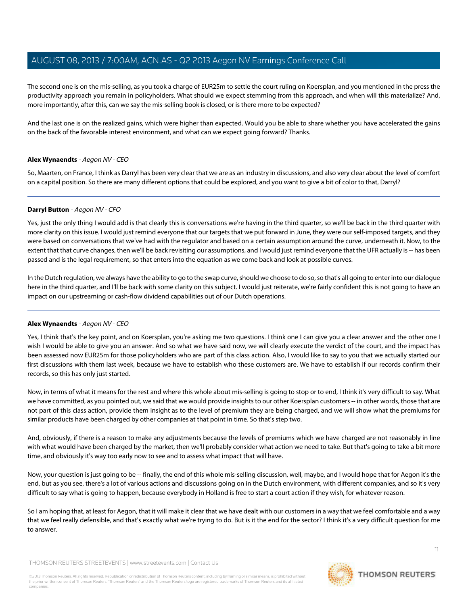The second one is on the mis-selling, as you took a charge of EUR25m to settle the court ruling on Koersplan, and you mentioned in the press the productivity approach you remain in policyholders. What should we expect stemming from this approach, and when will this materialize? And, more importantly, after this, can we say the mis-selling book is closed, or is there more to be expected?

And the last one is on the realized gains, which were higher than expected. Would you be able to share whether you have accelerated the gains on the back of the favorable interest environment, and what can we expect going forward? Thanks.

#### **Alex Wynaendts** - Aegon NV - CEO

So, Maarten, on France, I think as Darryl has been very clear that we are as an industry in discussions, and also very clear about the level of comfort on a capital position. So there are many different options that could be explored, and you want to give a bit of color to that, Darryl?

#### **Darryl Button** - Aegon NV - CFO

Yes, just the only thing I would add is that clearly this is conversations we're having in the third quarter, so we'll be back in the third quarter with more clarity on this issue. I would just remind everyone that our targets that we put forward in June, they were our self-imposed targets, and they were based on conversations that we've had with the regulator and based on a certain assumption around the curve, underneath it. Now, to the extent that that curve changes, then we'll be back revisiting our assumptions, and I would just remind everyone that the UFR actually is -- has been passed and is the legal requirement, so that enters into the equation as we come back and look at possible curves.

In the Dutch regulation, we always have the ability to go to the swap curve, should we choose to do so, so that's all going to enter into our dialogue here in the third quarter, and I'll be back with some clarity on this subject. I would just reiterate, we're fairly confident this is not going to have an impact on our upstreaming or cash-flow dividend capabilities out of our Dutch operations.

## **Alex Wynaendts** - Aegon NV - CEO

Yes, I think that's the key point, and on Koersplan, you're asking me two questions. I think one I can give you a clear answer and the other one I wish I would be able to give you an answer. And so what we have said now, we will clearly execute the verdict of the court, and the impact has been assessed now EUR25m for those policyholders who are part of this class action. Also, I would like to say to you that we actually started our first discussions with them last week, because we have to establish who these customers are. We have to establish if our records confirm their records, so this has only just started.

Now, in terms of what it means for the rest and where this whole about mis-selling is going to stop or to end, I think it's very difficult to say. What we have committed, as you pointed out, we said that we would provide insights to our other Koersplan customers -- in other words, those that are not part of this class action, provide them insight as to the level of premium they are being charged, and we will show what the premiums for similar products have been charged by other companies at that point in time. So that's step two.

And, obviously, if there is a reason to make any adjustments because the levels of premiums which we have charged are not reasonably in line with what would have been charged by the market, then we'll probably consider what action we need to take. But that's going to take a bit more time, and obviously it's way too early now to see and to assess what impact that will have.

Now, your question is just going to be -- finally, the end of this whole mis-selling discussion, well, maybe, and I would hope that for Aegon it's the end, but as you see, there's a lot of various actions and discussions going on in the Dutch environment, with different companies, and so it's very difficult to say what is going to happen, because everybody in Holland is free to start a court action if they wish, for whatever reason.

So I am hoping that, at least for Aegon, that it will make it clear that we have dealt with our customers in a way that we feel comfortable and a way that we feel really defensible, and that's exactly what we're trying to do. But is it the end for the sector? I think it's a very difficult question for me to answer.

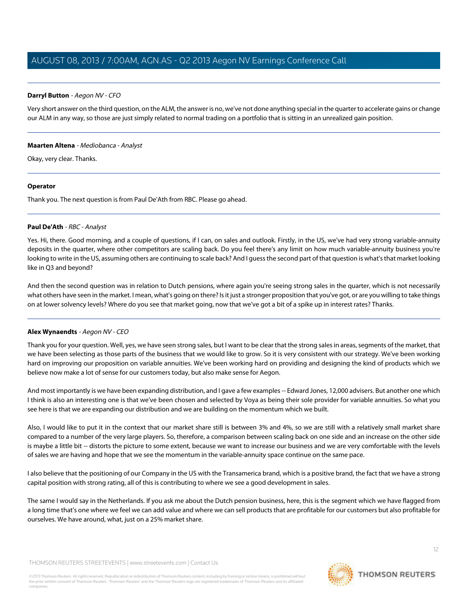#### **Darryl Button** - Aegon NV - CFO

Very short answer on the third question, on the ALM, the answer is no, we've not done anything special in the quarter to accelerate gains or change our ALM in any way, so those are just simply related to normal trading on a portfolio that is sitting in an unrealized gain position.

#### **Maarten Altena** - Mediobanca - Analyst

Okay, very clear. Thanks.

#### **Operator**

<span id="page-11-0"></span>Thank you. The next question is from Paul De'Ath from RBC. Please go ahead.

#### **Paul De'Ath** - RBC - Analyst

Yes. Hi, there. Good morning, and a couple of questions, if I can, on sales and outlook. Firstly, in the US, we've had very strong variable-annuity deposits in the quarter, where other competitors are scaling back. Do you feel there's any limit on how much variable-annuity business you're looking to write in the US, assuming others are continuing to scale back? And I guess the second part of that question is what's that market looking like in Q3 and beyond?

And then the second question was in relation to Dutch pensions, where again you're seeing strong sales in the quarter, which is not necessarily what others have seen in the market. I mean, what's going on there? Is it just a stronger proposition that you've got, or are you willing to take things on at lower solvency levels? Where do you see that market going, now that we've got a bit of a spike up in interest rates? Thanks.

## **Alex Wynaendts** - Aegon NV - CEO

Thank you for your question. Well, yes, we have seen strong sales, but I want to be clear that the strong sales in areas, segments of the market, that we have been selecting as those parts of the business that we would like to grow. So it is very consistent with our strategy. We've been working hard on improving our proposition on variable annuities. We've been working hard on providing and designing the kind of products which we believe now make a lot of sense for our customers today, but also make sense for Aegon.

And most importantly is we have been expanding distribution, and I gave a few examples -- Edward Jones, 12,000 advisers. But another one which I think is also an interesting one is that we've been chosen and selected by Voya as being their sole provider for variable annuities. So what you see here is that we are expanding our distribution and we are building on the momentum which we built.

Also, I would like to put it in the context that our market share still is between 3% and 4%, so we are still with a relatively small market share compared to a number of the very large players. So, therefore, a comparison between scaling back on one side and an increase on the other side is maybe a little bit -- distorts the picture to some extent, because we want to increase our business and we are very comfortable with the levels of sales we are having and hope that we see the momentum in the variable-annuity space continue on the same pace.

I also believe that the positioning of our Company in the US with the Transamerica brand, which is a positive brand, the fact that we have a strong capital position with strong rating, all of this is contributing to where we see a good development in sales.

The same I would say in the Netherlands. If you ask me about the Dutch pension business, here, this is the segment which we have flagged from a long time that's one where we feel we can add value and where we can sell products that are profitable for our customers but also profitable for ourselves. We have around, what, just on a 25% market share.

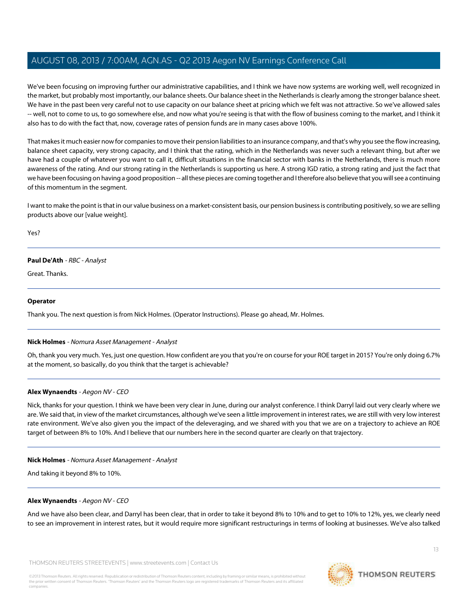We've been focusing on improving further our administrative capabilities, and I think we have now systems are working well, well recognized in the market, but probably most importantly, our balance sheets. Our balance sheet in the Netherlands is clearly among the stronger balance sheet. We have in the past been very careful not to use capacity on our balance sheet at pricing which we felt was not attractive. So we've allowed sales -- well, not to come to us, to go somewhere else, and now what you're seeing is that with the flow of business coming to the market, and I think it also has to do with the fact that, now, coverage rates of pension funds are in many cases above 100%.

That makes it much easier now for companies to move their pension liabilities to an insurance company, and that's why you see the flow increasing, balance sheet capacity, very strong capacity, and I think that the rating, which in the Netherlands was never such a relevant thing, but after we have had a couple of whatever you want to call it, difficult situations in the financial sector with banks in the Netherlands, there is much more awareness of the rating. And our strong rating in the Netherlands is supporting us here. A strong IGD ratio, a strong rating and just the fact that we have been focusing on having a good proposition -- all these pieces are coming together and I therefore also believe that you will see a continuing of this momentum in the segment.

I want to make the point is that in our value business on a market-consistent basis, our pension business is contributing positively, so we are selling products above our [value weight].

Yes?

## **Paul De'Ath** - RBC - Analyst

Great. Thanks.

#### **Operator**

<span id="page-12-0"></span>Thank you. The next question is from Nick Holmes. (Operator Instructions). Please go ahead, Mr. Holmes.

#### **Nick Holmes** - Nomura Asset Management - Analyst

Oh, thank you very much. Yes, just one question. How confident are you that you're on course for your ROE target in 2015? You're only doing 6.7% at the moment, so basically, do you think that the target is achievable?

#### **Alex Wynaendts** - Aegon NV - CEO

Nick, thanks for your question. I think we have been very clear in June, during our analyst conference. I think Darryl laid out very clearly where we are. We said that, in view of the market circumstances, although we've seen a little improvement in interest rates, we are still with very low interest rate environment. We've also given you the impact of the deleveraging, and we shared with you that we are on a trajectory to achieve an ROE target of between 8% to 10%. And I believe that our numbers here in the second quarter are clearly on that trajectory.

#### **Nick Holmes** - Nomura Asset Management - Analyst

And taking it beyond 8% to 10%.

#### **Alex Wynaendts** - Aegon NV - CEO

And we have also been clear, and Darryl has been clear, that in order to take it beyond 8% to 10% and to get to 10% to 12%, yes, we clearly need to see an improvement in interest rates, but it would require more significant restructurings in terms of looking at businesses. We've also talked

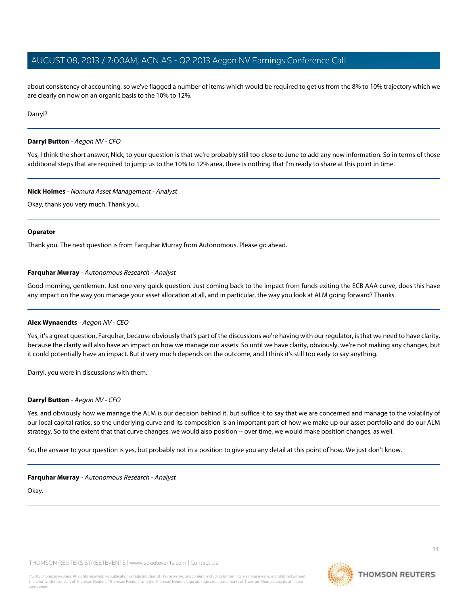about consistency of accounting, so we've flagged a number of items which would be required to get us from the 8% to 10% trajectory which we are clearly on now on an organic basis to the 10% to 12%.

Darryl?

#### **Darryl Button** - Aegon NV - CFO

Yes, I think the short answer, Nick, to your question is that we're probably still too close to June to add any new information. So in terms of those additional steps that are required to jump us to the 10% to 12% area, there is nothing that I'm ready to share at this point in time.

#### **Nick Holmes** - Nomura Asset Management - Analyst

Okay, thank you very much. Thank you.

#### **Operator**

<span id="page-13-0"></span>Thank you. The next question is from Farquhar Murray from Autonomous. Please go ahead.

#### **Farquhar Murray** - Autonomous Research - Analyst

Good morning, gentlemen. Just one very quick question. Just coming back to the impact from funds exiting the ECB AAA curve, does this have any impact on the way you manage your asset allocation at all, and in particular, the way you look at ALM going forward? Thanks.

#### **Alex Wynaendts** - Aegon NV - CEO

Yes, it's a great question, Farquhar, because obviously that's part of the discussions we're having with our regulator, is that we need to have clarity, because the clarity will also have an impact on how we manage our assets. So until we have clarity, obviously, we're not making any changes, but it could potentially have an impact. But it very much depends on the outcome, and I think it's still too early to say anything.

Darryl, you were in discussions with them.

#### **Darryl Button** - Aegon NV - CFO

Yes, and obviously how we manage the ALM is our decision behind it, but suffice it to say that we are concerned and manage to the volatility of our local capital ratios, so the underlying curve and its composition is an important part of how we make up our asset portfolio and do our ALM strategy. So to the extent that that curve changes, we would also position -- over time, we would make position changes, as well.

So, the answer to your question is yes, but probably not in a position to give you any detail at this point of how. We just don't know.

#### **Farquhar Murray** - Autonomous Research - Analyst

Okay.

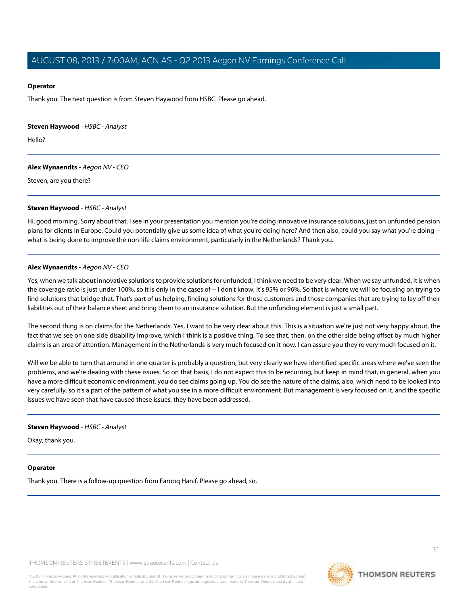#### **Operator**

Thank you. The next question is from Steven Haywood from HSBC. Please go ahead.

<span id="page-14-0"></span>**Steven Haywood** - HSBC - Analyst

Hello?

**Alex Wynaendts** - Aegon NV - CEO

Steven, are you there?

#### **Steven Haywood** - HSBC - Analyst

Hi, good morning. Sorry about that. I see in your presentation you mention you're doing innovative insurance solutions, just on unfunded pension plans for clients in Europe. Could you potentially give us some idea of what you're doing here? And then also, could you say what you're doing what is being done to improve the non-life claims environment, particularly in the Netherlands? Thank you.

#### **Alex Wynaendts** - Aegon NV - CEO

Yes, when we talk about innovative solutions to provide solutions for unfunded, I think we need to be very clear. When we say unfunded, it is when the coverage ratio is just under 100%, so it is only in the cases of -- I don't know, it's 95% or 96%. So that is where we will be focusing on trying to find solutions that bridge that. That's part of us helping, finding solutions for those customers and those companies that are trying to lay off their liabilities out of their balance sheet and bring them to an insurance solution. But the unfunding element is just a small part.

The second thing is on claims for the Netherlands. Yes, I want to be very clear about this. This is a situation we're just not very happy about, the fact that we see on one side disability improve, which I think is a positive thing. To see that, then, on the other side being offset by much higher claims is an area of attention. Management in the Netherlands is very much focused on it now. I can assure you they're very much focused on it.

Will we be able to turn that around in one quarter is probably a question, but very clearly we have identified specific areas where we've seen the problems, and we're dealing with these issues. So on that basis, I do not expect this to be recurring, but keep in mind that, in general, when you have a more difficult economic environment, you do see claims going up. You do see the nature of the claims, also, which need to be looked into very carefully, so it's a part of the pattern of what you see in a more difficult environment. But management is very focused on it, and the specific issues we have seen that have caused these issues, they have been addressed.

#### **Steven Haywood** - HSBC - Analyst

Okay, thank you.

#### **Operator**

Thank you. There is a follow-up question from Farooq Hanif. Please go ahead, sir.

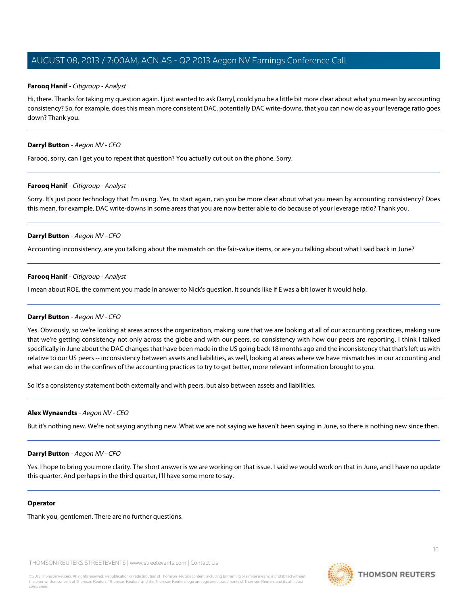#### **Farooq Hanif** - Citigroup - Analyst

Hi, there. Thanks for taking my question again. I just wanted to ask Darryl, could you be a little bit more clear about what you mean by accounting consistency? So, for example, does this mean more consistent DAC, potentially DAC write-downs, that you can now do as your leverage ratio goes down? Thank you.

#### **Darryl Button** - Aegon NV - CFO

Farooq, sorry, can I get you to repeat that question? You actually cut out on the phone. Sorry.

#### **Farooq Hanif** - Citigroup - Analyst

Sorry. It's just poor technology that I'm using. Yes, to start again, can you be more clear about what you mean by accounting consistency? Does this mean, for example, DAC write-downs in some areas that you are now better able to do because of your leverage ratio? Thank you.

#### **Darryl Button** - Aegon NV - CFO

Accounting inconsistency, are you talking about the mismatch on the fair-value items, or are you talking about what I said back in June?

#### **Farooq Hanif** - Citigroup - Analyst

I mean about ROE, the comment you made in answer to Nick's question. It sounds like if E was a bit lower it would help.

#### **Darryl Button** - Aegon NV - CFO

Yes. Obviously, so we're looking at areas across the organization, making sure that we are looking at all of our accounting practices, making sure that we're getting consistency not only across the globe and with our peers, so consistency with how our peers are reporting. I think I talked specifically in June about the DAC changes that have been made in the US going back 18 months ago and the inconsistency that that's left us with relative to our US peers -- inconsistency between assets and liabilities, as well, looking at areas where we have mismatches in our accounting and what we can do in the confines of the accounting practices to try to get better, more relevant information brought to you.

So it's a consistency statement both externally and with peers, but also between assets and liabilities.

#### **Alex Wynaendts** - Aegon NV - CEO

But it's nothing new. We're not saying anything new. What we are not saying we haven't been saying in June, so there is nothing new since then.

#### **Darryl Button** - Aegon NV - CFO

Yes. I hope to bring you more clarity. The short answer is we are working on that issue. I said we would work on that in June, and I have no update this quarter. And perhaps in the third quarter, I'll have some more to say.

#### **Operator**

Thank you, gentlemen. There are no further questions.

THOMSON REUTERS STREETEVENTS | www.streetevents.com | Contact Us